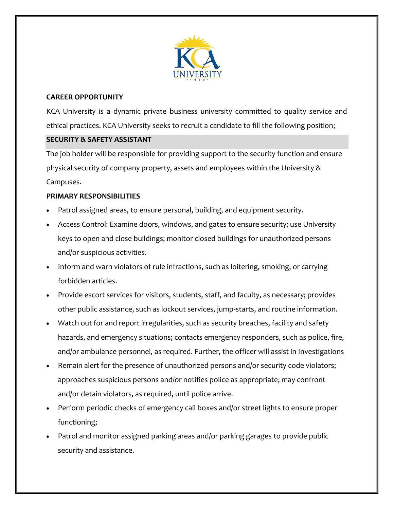

# **CAREER OPPORTUNITY**

KCA University is a dynamic private business university committed to quality service and ethical practices. KCA University seeks to recruit a candidate to fill the following position;

# **SECURITY & SAFETY ASSISTANT**

The job holder will be responsible for providing support to the security function and ensure physical security of company property, assets and employees within the University & Campuses.

# **PRIMARY RESPONSIBILITIES**

- Patrol assigned areas, to ensure personal, building, and equipment security.
- Access Control: Examine doors, windows, and gates to ensure security; use University keys to open and close buildings; monitor closed buildings for unauthorized persons and/or suspicious activities.
- Inform and warn violators of rule infractions, such as loitering, smoking, or carrying forbidden articles.
- Provide escort services for visitors, students, staff, and faculty, as necessary; provides other public assistance, such as lockout services, jump-starts, and routine information.
- Watch out for and report irregularities, such as security breaches, facility and safety hazards, and emergency situations; contacts emergency responders, such as police, fire, and/or ambulance personnel, as required. Further, the officer will assist in Investigations
- Remain alert for the presence of unauthorized persons and/or security code violators; approaches suspicious persons and/or notifies police as appropriate; may confront and/or detain violators, as required, until police arrive.
- Perform periodic checks of emergency call boxes and/or street lights to ensure proper functioning;
- Patrol and monitor assigned parking areas and/or parking garages to provide public security and assistance.